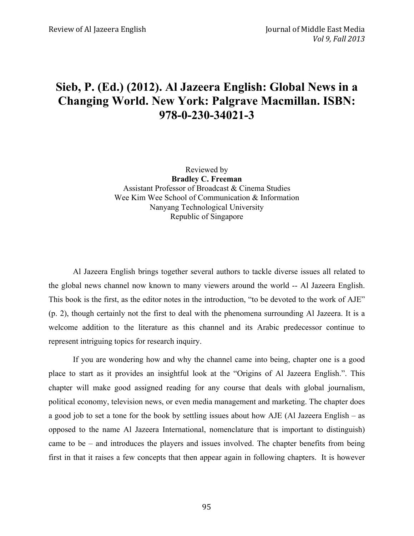## **Sieb, P. (Ed.) (2012). Al Jazeera English: Global News in a Changing World. New York: Palgrave Macmillan. ISBN: 978-0-230-34021-3**

Reviewed by **Bradley C. Freeman** Assistant Professor of Broadcast & Cinema Studies Wee Kim Wee School of Communication & Information Nanyang Technological University Republic of Singapore

Al Jazeera English brings together several authors to tackle diverse issues all related to the global news channel now known to many viewers around the world -- Al Jazeera English. This book is the first, as the editor notes in the introduction, "to be devoted to the work of AJE" (p. 2), though certainly not the first to deal with the phenomena surrounding Al Jazeera. It is a welcome addition to the literature as this channel and its Arabic predecessor continue to represent intriguing topics for research inquiry.

If you are wondering how and why the channel came into being, chapter one is a good place to start as it provides an insightful look at the "Origins of Al Jazeera English.". This chapter will make good assigned reading for any course that deals with global journalism, political economy, television news, or even media management and marketing. The chapter does a good job to set a tone for the book by settling issues about how AJE (Al Jazeera English – as opposed to the name Al Jazeera International, nomenclature that is important to distinguish) came to be – and introduces the players and issues involved. The chapter benefits from being first in that it raises a few concepts that then appear again in following chapters. It is however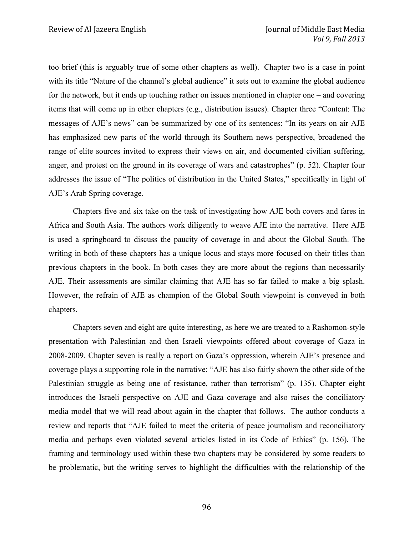too brief (this is arguably true of some other chapters as well). Chapter two is a case in point with its title "Nature of the channel's global audience" it sets out to examine the global audience for the network, but it ends up touching rather on issues mentioned in chapter one – and covering items that will come up in other chapters (e.g., distribution issues). Chapter three "Content: The messages of AJE's news" can be summarized by one of its sentences: "In its years on air AJE has emphasized new parts of the world through its Southern news perspective, broadened the range of elite sources invited to express their views on air, and documented civilian suffering, anger, and protest on the ground in its coverage of wars and catastrophes" (p. 52). Chapter four addresses the issue of "The politics of distribution in the United States," specifically in light of AJE's Arab Spring coverage.

Chapters five and six take on the task of investigating how AJE both covers and fares in Africa and South Asia. The authors work diligently to weave AJE into the narrative. Here AJE is used a springboard to discuss the paucity of coverage in and about the Global South. The writing in both of these chapters has a unique locus and stays more focused on their titles than previous chapters in the book. In both cases they are more about the regions than necessarily AJE. Their assessments are similar claiming that AJE has so far failed to make a big splash. However, the refrain of AJE as champion of the Global South viewpoint is conveyed in both chapters.

Chapters seven and eight are quite interesting, as here we are treated to a Rashomon-style presentation with Palestinian and then Israeli viewpoints offered about coverage of Gaza in 2008-2009. Chapter seven is really a report on Gaza's oppression, wherein AJE's presence and coverage plays a supporting role in the narrative: "AJE has also fairly shown the other side of the Palestinian struggle as being one of resistance, rather than terrorism" (p. 135). Chapter eight introduces the Israeli perspective on AJE and Gaza coverage and also raises the conciliatory media model that we will read about again in the chapter that follows. The author conducts a review and reports that "AJE failed to meet the criteria of peace journalism and reconciliatory media and perhaps even violated several articles listed in its Code of Ethics" (p. 156). The framing and terminology used within these two chapters may be considered by some readers to be problematic, but the writing serves to highlight the difficulties with the relationship of the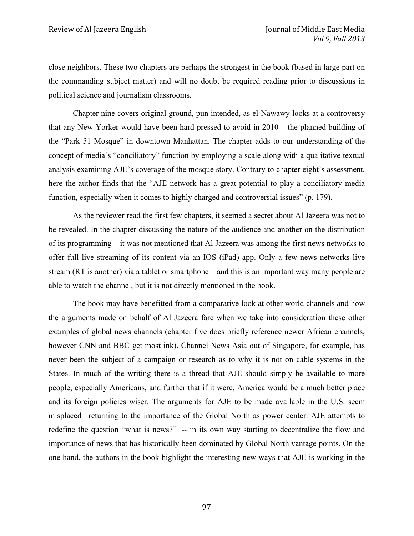close neighbors. These two chapters are perhaps the strongest in the book (based in large part on the commanding subject matter) and will no doubt be required reading prior to discussions in political science and journalism classrooms.

Chapter nine covers original ground, pun intended, as el-Nawawy looks at a controversy that any New Yorker would have been hard pressed to avoid in 2010 – the planned building of the "Park 51 Mosque" in downtown Manhattan. The chapter adds to our understanding of the concept of media's "conciliatory" function by employing a scale along with a qualitative textual analysis examining AJE's coverage of the mosque story. Contrary to chapter eight's assessment, here the author finds that the "AJE network has a great potential to play a conciliatory media function, especially when it comes to highly charged and controversial issues" (p. 179).

As the reviewer read the first few chapters, it seemed a secret about Al Jazeera was not to be revealed. In the chapter discussing the nature of the audience and another on the distribution of its programming – it was not mentioned that Al Jazeera was among the first news networks to offer full live streaming of its content via an IOS (iPad) app. Only a few news networks live stream (RT is another) via a tablet or smartphone – and this is an important way many people are able to watch the channel, but it is not directly mentioned in the book.

The book may have benefitted from a comparative look at other world channels and how the arguments made on behalf of Al Jazeera fare when we take into consideration these other examples of global news channels (chapter five does briefly reference newer African channels, however CNN and BBC get most ink). Channel News Asia out of Singapore, for example, has never been the subject of a campaign or research as to why it is not on cable systems in the States. In much of the writing there is a thread that AJE should simply be available to more people, especially Americans, and further that if it were, America would be a much better place and its foreign policies wiser. The arguments for AJE to be made available in the U.S. seem misplaced –returning to the importance of the Global North as power center. AJE attempts to redefine the question "what is news?" -- in its own way starting to decentralize the flow and importance of news that has historically been dominated by Global North vantage points. On the one hand, the authors in the book highlight the interesting new ways that AJE is working in the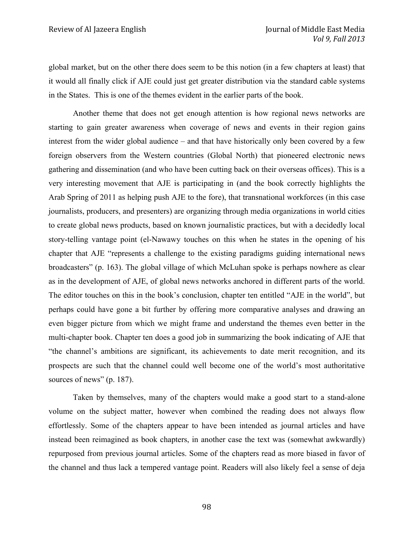global market, but on the other there does seem to be this notion (in a few chapters at least) that it would all finally click if AJE could just get greater distribution via the standard cable systems in the States. This is one of the themes evident in the earlier parts of the book.

Another theme that does not get enough attention is how regional news networks are starting to gain greater awareness when coverage of news and events in their region gains interest from the wider global audience – and that have historically only been covered by a few foreign observers from the Western countries (Global North) that pioneered electronic news gathering and dissemination (and who have been cutting back on their overseas offices). This is a very interesting movement that AJE is participating in (and the book correctly highlights the Arab Spring of 2011 as helping push AJE to the fore), that transnational workforces (in this case journalists, producers, and presenters) are organizing through media organizations in world cities to create global news products, based on known journalistic practices, but with a decidedly local story-telling vantage point (el-Nawawy touches on this when he states in the opening of his chapter that AJE "represents a challenge to the existing paradigms guiding international news broadcasters" (p. 163). The global village of which McLuhan spoke is perhaps nowhere as clear as in the development of AJE, of global news networks anchored in different parts of the world. The editor touches on this in the book's conclusion, chapter ten entitled "AJE in the world", but perhaps could have gone a bit further by offering more comparative analyses and drawing an even bigger picture from which we might frame and understand the themes even better in the multi-chapter book. Chapter ten does a good job in summarizing the book indicating of AJE that "the channel's ambitions are significant, its achievements to date merit recognition, and its prospects are such that the channel could well become one of the world's most authoritative sources of news" (p. 187).

Taken by themselves, many of the chapters would make a good start to a stand-alone volume on the subject matter, however when combined the reading does not always flow effortlessly. Some of the chapters appear to have been intended as journal articles and have instead been reimagined as book chapters, in another case the text was (somewhat awkwardly) repurposed from previous journal articles. Some of the chapters read as more biased in favor of the channel and thus lack a tempered vantage point. Readers will also likely feel a sense of deja